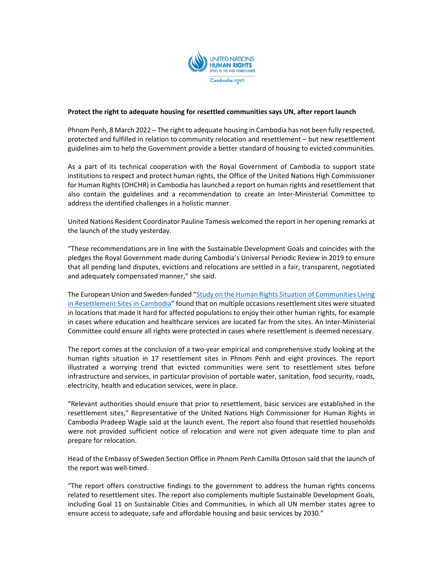

## **Protect the right to adequate housing for resettled communities says UN, after report launch**

Phnom Penh, 8 March 2022 – The right to adequate housing in Cambodia has not been fully respected, protected and fulfilled in relation to community relocation and resettlement – but new resettlement guidelines aim to help the Government provide a better standard of housing to evicted communities.

As a part of its technical cooperation with the Royal Government of Cambodia to support state institutions to respect and protect human rights, the Office of the United Nations High Commissioner for Human Rights (OHCHR) in Cambodia has launched a report on human rights and resettlement that also contain the guidelines and a recommendation to create an Inter‐Ministerial Committee to address the identified challenges in a holistic manner.

United Nations Resident Coordinator Pauline Tamesis welcomed the report in her opening remarks at the launch of the study yesterday.

"These recommendations are in line with the Sustainable Development Goals and coincides with the pledges the Royal Government made during Cambodia's Universal Periodic Review in 2019 to ensure that all pending land disputes, evictions and relocations are settled in a fair, transparent, negotiated and adequately compensated manner," she said.

The European Union and Sweden-funded "Study on the Human Rights Situation of Communities Living in Resettlement Sites in Cambodia" found that on multiple occasions resettlement sites were situated in locations that made it hard for affected populations to enjoy their other human rights, for example in cases where education and healthcare services are located far from the sites. An Inter‐Ministerial Committee could ensure all rights were protected in cases where resettlement is deemed necessary.

The report comes at the conclusion of a two-year empirical and comprehensive study looking at the human rights situation in 17 resettlement sites in Phnom Penh and eight provinces. The report illustrated a worrying trend that evicted communities were sent to resettlement sites before infrastructure and services, in particular provision of portable water, sanitation, food security, roads, electricity, health and education services, were in place.

"Relevant authorities should ensure that prior to resettlement, basic services are established in the resettlement sites," Representative of the United Nations High Commissioner for Human Rights in Cambodia Pradeep Wagle said at the launch event. The report also found that resettled households were not provided sufficient notice of relocation and were not given adequate time to plan and prepare for relocation.

Head of the Embassy of Sweden Section Office in Phnom Penh Camilla Ottoson said that the launch of the report was well-timed.

"The report offers constructive findings to the government to address the human rights concerns related to resettlement sites. The report also complements multiple Sustainable Development Goals, including Goal 11 on Sustainable Cities and Communities, in which all UN member states agree to ensure access to adequate, safe and affordable housing and basic services by 2030."